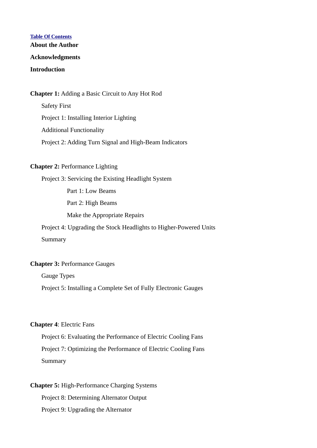## **Table Of Contents**

**About the Author**

#### **Acknowledgments**

## **Introduction**

#### **Chapter 1:** Adding a Basic Circuit to Any Hot Rod

Safety First Project 1: Installing Interior Lighting Additional Functionality Project 2: Adding Turn Signal and High-Beam Indicators

### **Chapter 2:** Performance Lighting

Project 3: Servicing the Existing Headlight System

Part 1: Low Beams

Part 2: High Beams

Make the Appropriate Repairs

Project 4: Upgrading the Stock Headlights to Higher-Powered Units

Summary

## **Chapter 3:** Performance Gauges

Gauge Types

Project 5: Installing a Complete Set of Fully Electronic Gauges

#### **Chapter 4**: Electric Fans

Project 6: Evaluating the Performance of Electric Cooling Fans Project 7: Optimizing the Performance of Electric Cooling Fans Summary

# **Chapter 5:** High-Performance Charging Systems

Project 8: Determining Alternator Output Project 9: Upgrading the Alternator